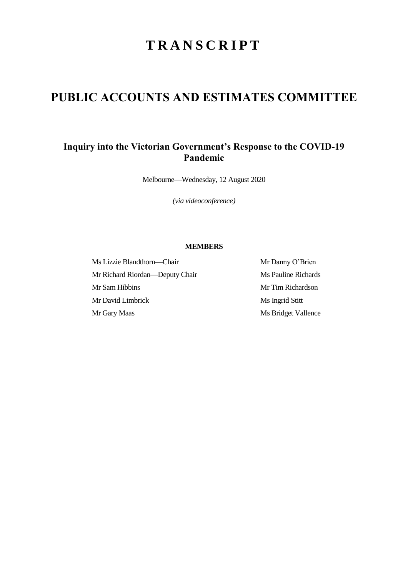# **T R A N S C R I P T**

# **PUBLIC ACCOUNTS AND ESTIMATES COMMITTEE**

# **Inquiry into the Victorian Government's Response to the COVID-19 Pandemic**

Melbourne—Wednesday, 12 August 2020

*(via videoconference)*

## **MEMBERS**

Ms Lizzie Blandthorn—Chair Mr Danny O'Brien Mr Richard Riordan—Deputy Chair Ms Pauline Richards Mr Sam Hibbins Mr Tim Richardson Mr David Limbrick Ms Ingrid Stitt Mr Gary Maas Ms Bridget Vallence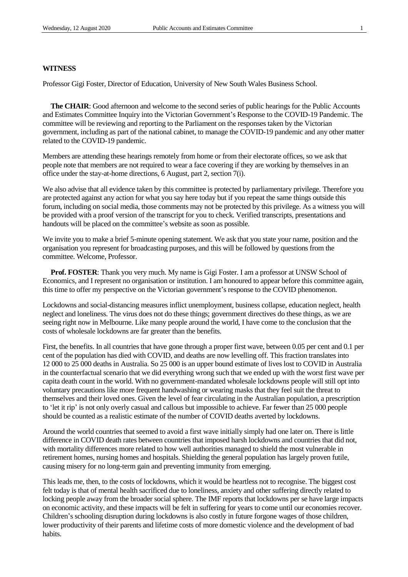#### **WITNESS**

Professor Gigi Foster, Director of Education, University of New South Wales Business School.

**The CHAIR**: Good afternoon and welcome to the second series of public hearings for the Public Accounts and Estimates Committee Inquiry into the Victorian Government's Response to the COVID-19 Pandemic. The committee will be reviewing and reporting to the Parliament on the responses taken by the Victorian government, including as part of the national cabinet, to manage the COVID-19 pandemic and any other matter related to the COVID-19 pandemic.

Members are attending these hearings remotely from home or from their electorate offices, so we ask that people note that members are not required to wear a face covering if they are working by themselves in an office under the stay-at-home directions, 6 August, part 2, section 7(i).

We also advise that all evidence taken by this committee is protected by parliamentary privilege. Therefore you are protected against any action for what you say here today but if you repeat the same things outside this forum, including on social media, those comments may not be protected by this privilege. As a witness you will be provided with a proof version of the transcript for you to check. Verified transcripts, presentations and handouts will be placed on the committee's website as soon as possible.

We invite you to make a brief 5-minute opening statement. We ask that you state your name, position and the organisation you represent for broadcasting purposes, and this will be followed by questions from the committee. Welcome, Professor.

**Prof. FOSTER**: Thank you very much. My name is Gigi Foster. I am a professor at UNSW School of Economics, and I represent no organisation or institution. I am honoured to appear before this committee again, this time to offer my perspective on the Victorian government's response to the COVID phenomenon.

Lockdowns and social-distancing measures inflict unemployment, business collapse, education neglect, health neglect and loneliness. The virus does not do these things; government directives do these things, as we are seeing right now in Melbourne. Like many people around the world, I have come to the conclusion that the costs of wholesale lockdowns are far greater than the benefits.

First, the benefits. In all countries that have gone through a proper first wave, between 0.05 per cent and 0.1 per cent of the population has died with COVID, and deaths are now levelling off. This fraction translates into 12 000 to 25 000 deaths in Australia. So 25 000 is an upper bound estimate of lives lost to COVID in Australia in the counterfactual scenario that we did everything wrong such that we ended up with the worst first wave per capita death count in the world. With no government-mandated wholesale lockdowns people will still opt into voluntary precautions like more frequent handwashing or wearing masks that they feel suit the threat to themselves and their loved ones. Given the level of fear circulating in the Australian population, a prescription to 'let it rip' is not only overly casual and callous but impossible to achieve. Far fewer than 25 000 people should be counted as a realistic estimate of the number of COVID deaths averted by lockdowns.

Around the world countries that seemed to avoid a first wave initially simply had one later on. There is little difference in COVID death rates between countries that imposed harsh lockdowns and countries that did not, with mortality differences more related to how well authorities managed to shield the most vulnerable in retirement homes, nursing homes and hospitals. Shielding the general population has largely proven futile, causing misery for no long-term gain and preventing immunity from emerging.

This leads me, then, to the costs of lockdowns, which it would be heartless not to recognise. The biggest cost felt today is that of mental health sacrificed due to loneliness, anxiety and other suffering directly related to locking people away from the broader social sphere. The IMF reports that lockdowns per se have large impacts on economic activity, and these impacts will be felt in suffering for years to come until our economies recover. Children's schooling disruption during lockdowns is also costly in future forgone wages of those children, lower productivity of their parents and lifetime costs of more domestic violence and the development of bad habits.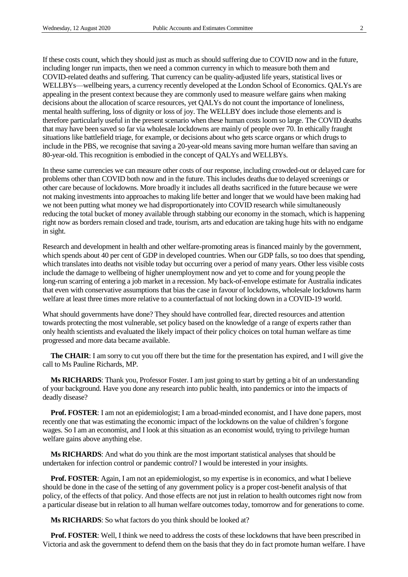If these costs count, which they should just as much as should suffering due to COVID now and in the future, including longer run impacts, then we need a common currency in which to measure both them and COVID-related deaths and suffering. That currency can be quality-adjusted life years, statistical lives or WELLBYs—wellbeing years, a currency recently developed at the London School of Economics. QALYs are appealing in the present context because they are commonly used to measure welfare gains when making decisions about the allocation of scarce resources, yet QALYs do not count the importance of loneliness, mental health suffering, loss of dignity or loss of joy. The WELLBY does include those elements and is therefore particularly useful in the present scenario when these human costs loom so large. The COVID deaths that may have been saved so far via wholesale lockdowns are mainly of people over 70. In ethically fraught situations like battlefield triage, for example, or decisions about who gets scarce organs or which drugs to include in the PBS, we recognise that saving a 20-year-old means saving more human welfare than saving an 80-year-old. This recognition is embodied in the concept of QALYs and WELLBYs.

In these same currencies we can measure other costs of our response, including crowded-out or delayed care for problems other than COVID both now and in the future. This includes deaths due to delayed screenings or other care because of lockdowns. More broadly it includes all deaths sacrificed in the future because we were not making investments into approaches to making life better and longer that we would have been making had we not been putting what money we had disproportionately into COVID research while simultaneously reducing the total bucket of money available through stabbing our economy in the stomach, which is happening right now as borders remain closed and trade, tourism, arts and education are taking huge hits with no endgame in sight.

Research and development in health and other welfare-promoting areas is financed mainly by the government, which spends about 40 per cent of GDP in developed countries. When our GDP falls, so too does that spending, which translates into deaths not visible today but occurring over a period of many years. Other less visible costs include the damage to wellbeing of higher unemployment now and yet to come and for young people the long-run scarring of entering a job market in a recession. My back-of-envelope estimate for Australia indicates that even with conservative assumptions that bias the case in favour of lockdowns, wholesale lockdowns harm welfare at least three times more relative to a counterfactual of not locking down in a COVID-19 world.

What should governments have done? They should have controlled fear, directed resources and attention towards protecting the most vulnerable, set policy based on the knowledge of a range of experts rather than only health scientists and evaluated the likely impact of their policy choices on total human welfare as time progressed and more data became available.

**The CHAIR**: I am sorry to cut you off there but the time for the presentation has expired, and I will give the call to Ms Pauline Richards, MP.

**Ms RICHARDS**: Thank you, Professor Foster. I am just going to start by getting a bit of an understanding of your background. Have you done any research into public health, into pandemics or into the impacts of deadly disease?

**Prof. FOSTER**: I am not an epidemiologist; I am a broad-minded economist, and I have done papers, most recently one that was estimating the economic impact of the lockdowns on the value of children's forgone wages. So I am an economist, and I look at this situation as an economist would, trying to privilege human welfare gains above anything else.

**Ms RICHARDS**: And what do you think are the most important statistical analyses that should be undertaken for infection control or pandemic control? I would be interested in your insights.

**Prof. FOSTER**: Again, I am not an epidemiologist, so my expertise is in economics, and what I believe should be done in the case of the setting of any government policy is a proper cost-benefit analysis of that policy, of the effects of that policy. And those effects are not just in relation to health outcomes right now from a particular disease but in relation to all human welfare outcomes today, tomorrow and for generations to come.

**Ms RICHARDS**: So what factors do you think should be looked at?

**Prof. FOSTER**: Well, I think we need to address the costs of these lockdowns that have been prescribed in Victoria and ask the government to defend them on the basis that they do in fact promote human welfare. I have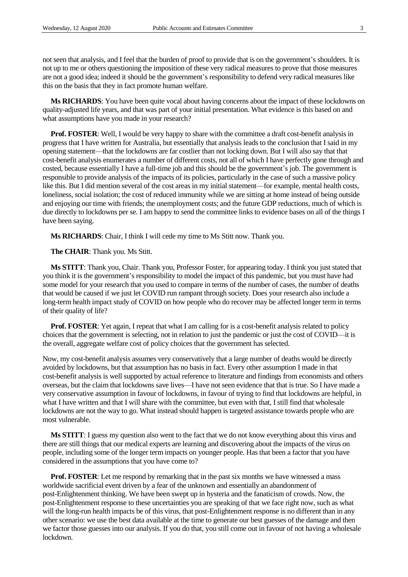not seen that analysis, and I feel that the burden of proof to provide that is on the government's shoulders. It is not up to me or others questioning the imposition of these very radical measures to prove that those measures are not a good idea; indeed it should be the government's responsibility to defend very radical measures like this on the basis that they in fact promote human welfare.

**Ms RICHARDS**: You have been quite vocal about having concerns about the impact of these lockdowns on quality-adjusted life years, and that was part of your initial presentation. What evidence is this based on and what assumptions have you made in your research?

**Prof. FOSTER:** Well, I would be very happy to share with the committee a draft cost-benefit analysis in progress that I have written for Australia, but essentially that analysis leads to the conclusion that I said in my opening statement—that the lockdowns are far costlier than not locking down. But I will also say that that cost-benefit analysis enumerates a number of different costs, not all of which I have perfectly gone through and costed, because essentially I have a full-time job and this should be the government's job. The government is responsible to provide analysis of the impacts of its policies, particularly in the case of such a massive policy like this. But I did mention several of the cost areas in my initial statement—for example, mental health costs, loneliness, social isolation; the cost of reduced immunity while we are sitting at home instead of being outside and enjoying our time with friends; the unemployment costs; and the future GDP reductions, much of which is due directly to lockdowns per se. I am happy to send the committee links to evidence bases on all of the things I have been saying.

**Ms RICHARDS**: Chair, I think I will cede my time to Ms Stitt now. Thank you.

**The CHAIR**: Thank you. Ms Stitt.

**Ms STITT**: Thank you, Chair. Thank you, Professor Foster, for appearing today. I think you just stated that you think it is the government's responsibility to model the impact of this pandemic, but you must have had some model for your research that you used to compare in terms of the number of cases, the number of deaths that would be caused if we just let COVID run rampant through society. Does your research also include a long-term health impact study of COVID on how people who do recover may be affected longer term in terms of their quality of life?

**Prof. FOSTER**: Yet again, I repeat that what I am calling for is a cost-benefit analysis related to policy choices that the government is selecting, not in relation to just the pandemic or just the cost of COVID—it is the overall, aggregate welfare cost of policy choices that the government has selected.

Now, my cost-benefit analysis assumes very conservatively that a large number of deaths would be directly avoided by lockdowns, but that assumption has no basis in fact. Every other assumption I made in that cost-benefit analysis is well supported by actual reference to literature and findings from economists and others overseas, but the claim that lockdowns save lives—I have not seen evidence that that is true. So I have made a very conservative assumption in favour of lockdowns, in favour of trying to find that lockdowns are helpful, in what I have written and that I will share with the committee, but even with that, I still find that wholesale lockdowns are not the way to go. What instead should happen is targeted assistance towards people who are most vulnerable.

**Ms STITT**: I guess my question also went to the fact that we do not know everything about this virus and there are still things that our medical experts are learning and discovering about the impacts of the virus on people, including some of the longer term impacts on younger people. Has that been a factor that you have considered in the assumptions that you have come to?

**Prof. FOSTER:** Let me respond by remarking that in the past six months we have witnessed a mass worldwide sacrificial event driven by a fear of the unknown and essentially an abandonment of post-Enlightenment thinking. We have been swept up in hysteria and the fanaticism of crowds. Now, the post-Enlightenment response to these uncertainties you are speaking of that we face right now, such as what will the long-run health impacts be of this virus, that post-Enlightenment response is no different than in any other scenario: we use the best data available at the time to generate our best guesses of the damage and then we factor those guesses into our analysis. If you do that, you still come out in favour of not having a wholesale lockdown.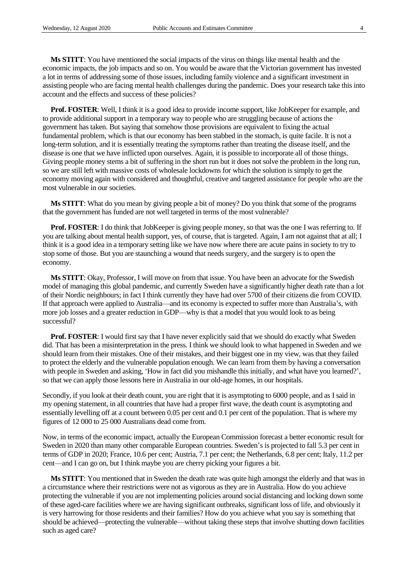**Ms STITT**: You have mentioned the social impacts of the virus on things like mental health and the economic impacts, the job impacts and so on. You would be aware that the Victorian government has invested a lot in terms of addressing some of those issues, including family violence and a significant investment in assisting people who are facing mental health challenges during the pandemic. Does your research take this into account and the effects and success of these policies?

**Prof. FOSTER:** Well, I think it is a good idea to provide income support, like JobKeeper for example, and to provide additional support in a temporary way to people who are struggling because of actions the government has taken. But saying that somehow those provisions are equivalent to fixing the actual fundamental problem, which is that our economy has been stabbed in the stomach, is quite facile. It is not a long-term solution, and it is essentially treating the symptoms rather than treating the disease itself, and the disease is one that we have inflicted upon ourselves. Again, it is possible to incorporate all of those things. Giving people money stems a bit of suffering in the short run but it does not solve the problem in the long run, so we are still left with massive costs of wholesale lockdowns for which the solution is simply to get the economy moving again with considered and thoughtful, creative and targeted assistance for people who are the most vulnerable in our societies.

**Ms STITT**: What do you mean by giving people a bit of money? Do you think that some of the programs that the government has funded are not well targeted in terms of the most vulnerable?

**Prof. FOSTER**: I do think that JobKeeper is giving people money, so that was the one I was referring to. If you are talking about mental health support, yes, of course, that is targeted. Again, I am not against that at all; I think it is a good idea in a temporary setting like we have now where there are acute pains in society to try to stop some of those. But you are staunching a wound that needs surgery, and the surgery is to open the economy.

**Ms STITT**: Okay, Professor, I will move on from that issue. You have been an advocate for the Swedish model of managing this global pandemic, and currently Sweden have a significantly higher death rate than a lot of their Nordic neighbours; in fact I think currently they have had over 5700 of their citizens die from COVID. If that approach were applied to Australia—and its economy is expected to suffer more than Australia's, with more job losses and a greater reduction in GDP—why is that a model that you would look to as being successful?

**Prof. FOSTER:** I would first say that I have never explicitly said that we should do exactly what Sweden did. That has been a misinterpretation in the press. I think we should look to what happened in Sweden and we should learn from their mistakes. One of their mistakes, and their biggest one in my view, was that they failed to protect the elderly and the vulnerable population enough. We can learn from them by having a conversation with people in Sweden and asking, 'How in fact did you mishandle this initially, and what have you learned?', so that we can apply those lessons here in Australia in our old-age homes, in our hospitals.

Secondly, if you look at their death count, you are right that it is asymptoting to 6000 people, and as I said in my opening statement, in all countries that have had a proper first wave, the death count is asymptoting and essentially levelling off at a count between 0.05 per cent and 0.1 per cent of the population. That is where my figures of 12 000 to 25 000 Australians dead come from.

Now, in terms of the economic impact, actually the European Commission forecast a better economic result for Sweden in 2020 than many other comparable European countries. Sweden's is projected to fall 5.3 per cent in terms of GDP in 2020; France, 10.6 per cent; Austria, 7.1 per cent; the Netherlands, 6.8 per cent; Italy, 11.2 per cent—and I can go on, but I think maybe you are cherry picking your figures a bit.

**Ms STITT**: You mentioned that in Sweden the death rate was quite high amongst the elderly and that was in a circumstance where their restrictions were not as vigorous as they are in Australia. How do you achieve protecting the vulnerable if you are not implementing policies around social distancing and locking down some of these aged-care facilities where we are having significant outbreaks, significant loss of life, and obviously it is very harrowing for those residents and their families? How do you achieve what you say is something that should be achieved—protecting the vulnerable—without taking these steps that involve shutting down facilities such as aged care?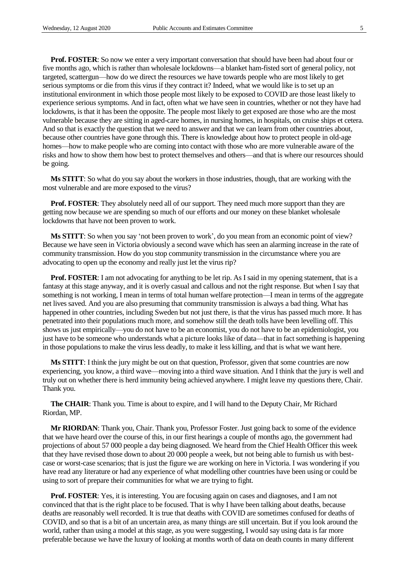**Prof. FOSTER**: So now we enter a very important conversation that should have been had about four or five months ago, which is rather than wholesale lockdowns—a blanket ham-fisted sort of general policy, not targeted, scattergun—how do we direct the resources we have towards people who are most likely to get serious symptoms or die from this virus if they contract it? Indeed, what we would like is to set up an institutional environment in which those people most likely to be exposed to COVID are those least likely to experience serious symptoms. And in fact, often what we have seen in countries, whether or not they have had lockdowns, is that it has been the opposite. The people most likely to get exposed are those who are the most vulnerable because they are sitting in aged-care homes, in nursing homes, in hospitals, on cruise ships et cetera. And so that is exactly the question that we need to answer and that we can learn from other countries about, because other countries have gone through this. There is knowledge about how to protect people in old-age homes—how to make people who are coming into contact with those who are more vulnerable aware of the risks and how to show them how best to protect themselves and others—and that is where our resources should be going.

**Ms STITT**: So what do you say about the workers in those industries, though, that are working with the most vulnerable and are more exposed to the virus?

**Prof. FOSTER:** They absolutely need all of our support. They need much more support than they are getting now because we are spending so much of our efforts and our money on these blanket wholesale lockdowns that have not been proven to work.

**Ms STITT**: So when you say 'not been proven to work', do you mean from an economic point of view? Because we have seen in Victoria obviously a second wave which has seen an alarming increase in the rate of community transmission. How do you stop community transmission in the circumstance where you are advocating to open up the economy and really just let the virus rip?

**Prof. FOSTER:** I am not advocating for anything to be let rip. As I said in my opening statement, that is a fantasy at this stage anyway, and it is overly casual and callous and not the right response. But when I say that something is not working, I mean in terms of total human welfare protection—I mean in terms of the aggregate net lives saved. And you are also presuming that community transmission is always a bad thing. What has happened in other countries, including Sweden but not just there, is that the virus has passed much more. It has penetrated into their populations much more, and somehow still the death tolls have been levelling off. This shows us just empirically—you do not have to be an economist, you do not have to be an epidemiologist, you just have to be someone who understands what a picture looks like of data—that in fact something is happening in those populations to make the virus less deadly, to make it less killing, and that is what we want here.

**Ms STITT**: I think the jury might be out on that question, Professor, given that some countries are now experiencing, you know, a third wave—moving into a third wave situation. And I think that the jury is well and truly out on whether there is herd immunity being achieved anywhere. I might leave my questions there, Chair. Thank you.

**The CHAIR**: Thank you. Time is about to expire, and I will hand to the Deputy Chair, Mr Richard Riordan, MP.

**Mr RIORDAN**: Thank you, Chair. Thank you, Professor Foster. Just going back to some of the evidence that we have heard over the course of this, in our first hearings a couple of months ago, the government had projections of about 57 000 people a day being diagnosed. We heard from the Chief Health Officer this week that they have revised those down to about 20 000 people a week, but not being able to furnish us with bestcase or worst-case scenarios; that is just the figure we are working on here in Victoria. I was wondering if you have read any literature or had any experience of what modelling other countries have been using or could be using to sort of prepare their communities for what we are trying to fight.

**Prof. FOSTER**: Yes, it is interesting. You are focusing again on cases and diagnoses, and I am not convinced that that is the right place to be focused. That is why I have been talking about deaths, because deaths are reasonably well recorded. It is true that deaths with COVID are sometimes confused for deaths of COVID, and so that is a bit of an uncertain area, as many things are still uncertain. But if you look around the world, rather than using a model at this stage, as you were suggesting, I would say using data is far more preferable because we have the luxury of looking at months worth of data on death counts in many different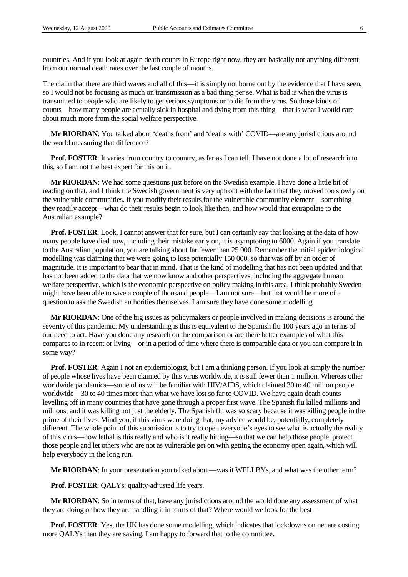countries. And if you look at again death counts in Europe right now, they are basically not anything different from our normal death rates over the last couple of months.

The claim that there are third waves and all of this—it is simply not borne out by the evidence that I have seen, so I would not be focusing as much on transmission as a bad thing per se. What is bad is when the virus is transmitted to people who are likely to get serious symptoms or to die from the virus. So those kinds of counts—how many people are actually sick in hospital and dying from this thing—that is what I would care about much more from the social welfare perspective.

**Mr RIORDAN**: You talked about 'deaths from' and 'deaths with' COVID—are any jurisdictions around the world measuring that difference?

**Prof. FOSTER:** It varies from country to country, as far as I can tell. I have not done a lot of research into this, so I am not the best expert for this on it.

**Mr RIORDAN**: We had some questions just before on the Swedish example. I have done a little bit of reading on that, and I think the Swedish government is very upfront with the fact that they moved too slowly on the vulnerable communities. If you modify their results for the vulnerable community element—something they readily accept—what do their results begin to look like then, and how would that extrapolate to the Australian example?

**Prof. FOSTER**: Look, I cannot answer that for sure, but I can certainly say that looking at the data of how many people have died now, including their mistake early on, it is asymptoting to 6000. Again if you translate to the Australian population, you are talking about far fewer than 25 000. Remember the initial epidemiological modelling was claiming that we were going to lose potentially 150 000, so that was off by an order of magnitude. It is important to bear that in mind. That is the kind of modelling that has not been updated and that has not been added to the data that we now know and other perspectives, including the aggregate human welfare perspective, which is the economic perspective on policy making in this area. I think probably Sweden might have been able to save a couple of thousand people—I am not sure—but that would be more of a question to ask the Swedish authorities themselves. I am sure they have done some modelling.

**Mr RIORDAN**: One of the big issues as policymakers or people involved in making decisions is around the severity of this pandemic. My understanding is this is equivalent to the Spanish flu 100 years ago in terms of our need to act. Have you done any research on the comparison or are there better examples of what this compares to in recent or living—or in a period of time where there is comparable data or you can compare it in some way?

**Prof. FOSTER**: Again I not an epidemiologist, but I am a thinking person. If you look at simply the number of people whose lives have been claimed by this virus worldwide, it is still fewer than 1 million. Whereas other worldwide pandemics—some of us will be familiar with HIV/AIDS, which claimed 30 to 40 million people worldwide—30 to 40 times more than what we have lost so far to COVID. We have again death counts levelling off in many countries that have gone through a proper first wave. The Spanish flu killed millions and millions, and it was killing not just the elderly. The Spanish flu was so scary because it was killing people in the prime of their lives. Mind you, if this virus were doing that, my advice would be, potentially, completely different. The whole point of this submission is to try to open everyone's eyes to see what is actually the reality of this virus—how lethal is this really and who is it really hitting—so that we can help those people, protect those people and let others who are not as vulnerable get on with getting the economy open again, which will help everybody in the long run.

**Mr RIORDAN**: In your presentation you talked about—was it WELLBYs, and what was the other term?

**Prof. FOSTER**: QALYs: quality-adjusted life years.

**Mr RIORDAN**: So in terms of that, have any jurisdictions around the world done any assessment of what they are doing or how they are handling it in terms of that? Where would we look for the best—

**Prof. FOSTER**: Yes, the UK has done some modelling, which indicates that lockdowns on net are costing more QALYs than they are saving. I am happy to forward that to the committee.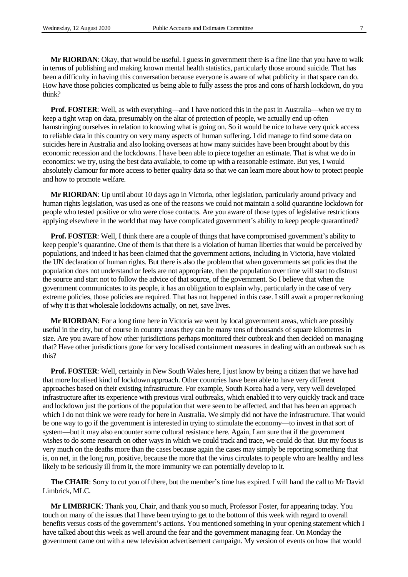**Mr RIORDAN**: Okay, that would be useful. I guess in government there is a fine line that you have to walk in terms of publishing and making known mental health statistics, particularly those around suicide. That has been a difficulty in having this conversation because everyone is aware of what publicity in that space can do. How have those policies complicated us being able to fully assess the pros and cons of harsh lockdown, do you think?

**Prof. FOSTER:** Well, as with everything—and I have noticed this in the past in Australia—when we try to keep a tight wrap on data, presumably on the altar of protection of people, we actually end up often hamstringing ourselves in relation to knowing what is going on. So it would be nice to have very quick access to reliable data in this country on very many aspects of human suffering. I did manage to find some data on suicides here in Australia and also looking overseas at how many suicides have been brought about by this economic recession and the lockdowns. I have been able to piece together an estimate. That is what we do in economics: we try, using the best data available, to come up with a reasonable estimate. But yes, I would absolutely clamour for more access to better quality data so that we can learn more about how to protect people and how to promote welfare.

**Mr RIORDAN**: Up until about 10 days ago in Victoria, other legislation, particularly around privacy and human rights legislation, was used as one of the reasons we could not maintain a solid quarantine lockdown for people who tested positive or who were close contacts. Are you aware of those types of legislative restrictions applying elsewhere in the world that may have complicated government's ability to keep people quarantined?

**Prof. FOSTER**: Well, I think there are a couple of things that have compromised government's ability to keep people's quarantine. One of them is that there is a violation of human liberties that would be perceived by populations, and indeed it has been claimed that the government actions, including in Victoria, have violated the UN declaration of human rights. But there is also the problem that when governments set policies that the population does not understand or feels are not appropriate, then the population over time will start to distrust the source and start not to follow the advice of that source, of the government. So I believe that when the government communicates to its people, it has an obligation to explain why, particularly in the case of very extreme policies, those policies are required. That has not happened in this case. I still await a proper reckoning of why it is that wholesale lockdowns actually, on net, save lives.

**Mr RIORDAN**: For a long time here in Victoria we went by local government areas, which are possibly useful in the city, but of course in country areas they can be many tens of thousands of square kilometres in size. Are you aware of how other jurisdictions perhaps monitored their outbreak and then decided on managing that? Have other jurisdictions gone for very localised containment measures in dealing with an outbreak such as this?

**Prof. FOSTER:** Well, certainly in New South Wales here, I just know by being a citizen that we have had that more localised kind of lockdown approach. Other countries have been able to have very different approaches based on their existing infrastructure. For example, South Korea had a very, very well developed infrastructure after its experience with previous viral outbreaks, which enabled it to very quickly track and trace and lockdown just the portions of the population that were seen to be affected, and that has been an approach which I do not think we were ready for here in Australia. We simply did not have the infrastructure. That would be one way to go if the government is interested in trying to stimulate the economy—to invest in that sort of system—but it may also encounter some cultural resistance here. Again, I am sure that if the government wishes to do some research on other ways in which we could track and trace, we could do that. But my focus is very much on the deaths more than the cases because again the cases may simply be reporting something that is, on net, in the long run, positive, because the more that the virus circulates to people who are healthy and less likely to be seriously ill from it, the more immunity we can potentially develop to it.

**The CHAIR**: Sorry to cut you off there, but the member's time has expired. I will hand the call to Mr David Limbrick, MLC.

**Mr LIMBRICK**: Thank you, Chair, and thank you so much, Professor Foster, for appearing today. You touch on many of the issues that I have been trying to get to the bottom of this week with regard to overall benefits versus costs of the government's actions. You mentioned something in your opening statement which I have talked about this week as well around the fear and the government managing fear. On Monday the government came out with a new television advertisement campaign. My version of events on how that would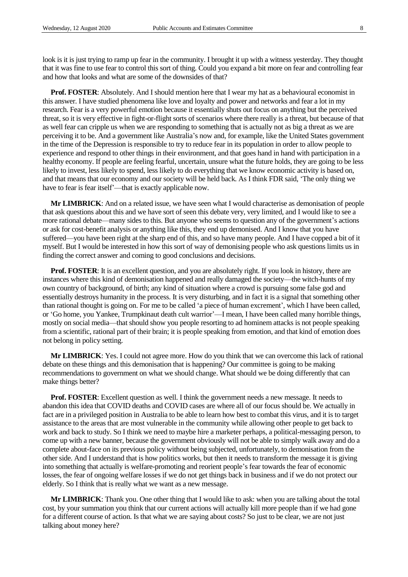look is it is just trying to ramp up fear in the community. I brought it up with a witness yesterday. They thought that it was fine to use fear to control this sort of thing. Could you expand a bit more on fear and controlling fear and how that looks and what are some of the downsides of that?

**Prof. FOSTER**: Absolutely. And I should mention here that I wear my hat as a behavioural economist in this answer. I have studied phenomena like love and loyalty and power and networks and fear a lot in my research. Fear is a very powerful emotion because it essentially shuts out focus on anything but the perceived threat, so it is very effective in fight-or-flight sorts of scenarios where there really is a threat, but because of that as well fear can cripple us when we are responding to something that is actually not as big a threat as we are perceiving it to be. And a government like Australia's now and, for example, like the United States government in the time of the Depression is responsible to try to reduce fear in its population in order to allow people to experience and respond to other things in their environment, and that goes hand in hand with participation in a healthy economy. If people are feeling fearful, uncertain, unsure what the future holds, they are going to be less likely to invest, less likely to spend, less likely to do everything that we know economic activity is based on, and that means that our economy and our society will be held back. As I think FDR said, 'The only thing we have to fear is fear itself'—that is exactly applicable now.

**Mr LIMBRICK**: And on a related issue, we have seen what I would characterise as demonisation of people that ask questions about this and we have sort of seen this debate very, very limited, and I would like to see a more rational debate—many sides to this. But anyone who seems to question any of the government's actions or ask for cost-benefit analysis or anything like this, they end up demonised. And I know that you have suffered—you have been right at the sharp end of this, and so have many people. And I have copped a bit of it myself. But I would be interested in how this sort of way of demonising people who ask questions limits us in finding the correct answer and coming to good conclusions and decisions.

**Prof. FOSTER:** It is an excellent question, and you are absolutely right. If you look in history, there are instances where this kind of demonisation happened and really damaged the society—the witch-hunts of my own country of background, of birth; any kind of situation where a crowd is pursuing some false god and essentially destroys humanity in the process. It is very disturbing, and in fact it is a signal that something other than rational thought is going on. For me to be called 'a piece of human excrement', which I have been called, or 'Go home, you Yankee, Trumpkinaut death cult warrior'—I mean, I have been called many horrible things, mostly on social media—that should show you people resorting to ad hominem attacks is not people speaking from a scientific, rational part of their brain; it is people speaking from emotion, and that kind of emotion does not belong in policy setting.

**Mr LIMBRICK**: Yes. I could not agree more. How do you think that we can overcome this lack of rational debate on these things and this demonisation that is happening? Our committee is going to be making recommendations to government on what we should change. What should we be doing differently that can make things better?

**Prof. FOSTER**: Excellent question as well. I think the government needs a new message. It needs to abandon this idea that COVID deaths and COVID cases are where all of our focus should be. We actually in fact are in a privileged position in Australia to be able to learn how best to combat this virus, and it is to target assistance to the areas that are most vulnerable in the community while allowing other people to get back to work and back to study. So I think we need to maybe hire a marketer perhaps, a political-messaging person, to come up with a new banner, because the government obviously will not be able to simply walk away and do a complete about-face on its previous policy without being subjected, unfortunately, to demonisation from the other side. And I understand that is how politics works, but then it needs to transform the message it is giving into something that actually is welfare-promoting and reorient people's fear towards the fear of economic losses, the fear of ongoing welfare losses if we do not get things back in business and if we do not protect our elderly. So I think that is really what we want as a new message.

**Mr LIMBRICK**: Thank you. One other thing that I would like to ask: when you are talking about the total cost, by your summation you think that our current actions will actually kill more people than if we had gone for a different course of action. Is that what we are saying about costs? So just to be clear, we are not just talking about money here?